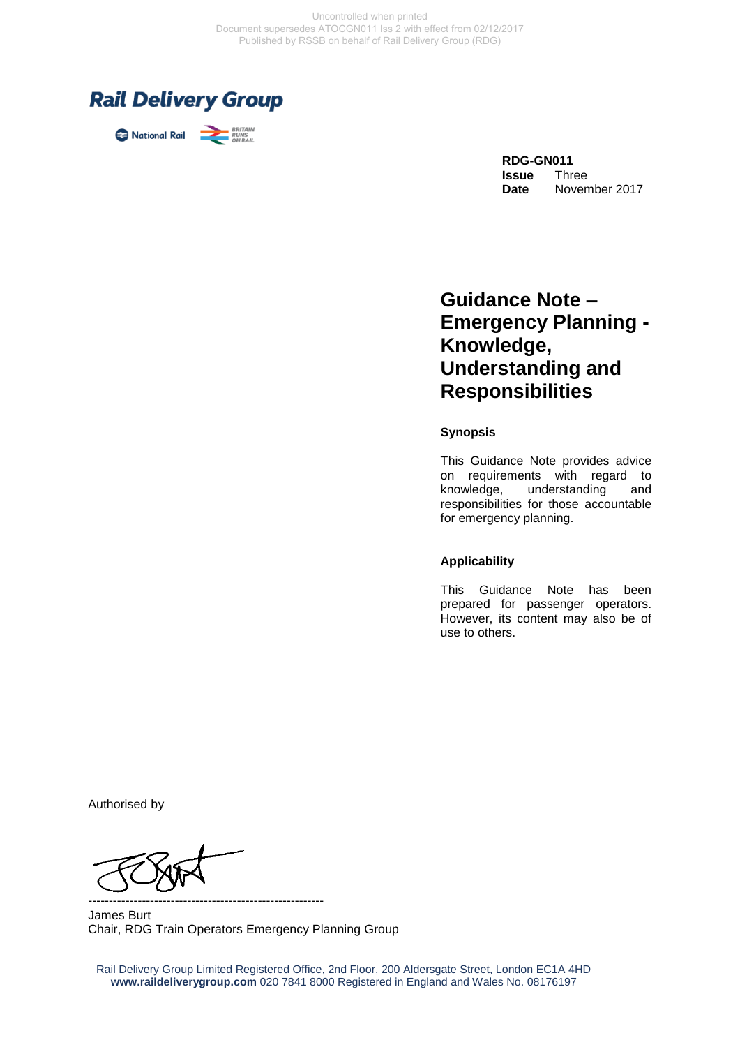

# **Guidance Note – Emergency Planning - Knowledge, Understanding and Responsibilities**

**Synopsis**

This Guidance Note provides advice on requirements with regard to knowledge, understanding and responsibilities for those accountable for emergency planning.

#### **Applicability**

This Guidance Note has been prepared for passenger operators. However, its content may also be of use to others.

Authorised by

--------------------------------------------------------- James Burt Chair, RDG Train Operators Emergency Planning Group

Rail Delivery Group Limited Registered Office, 2nd Floor, 200 Aldersgate Street, London EC1A 4HD **www.raildeliverygroup.com** 020 7841 8000 Registered in England and Wales No. 08176197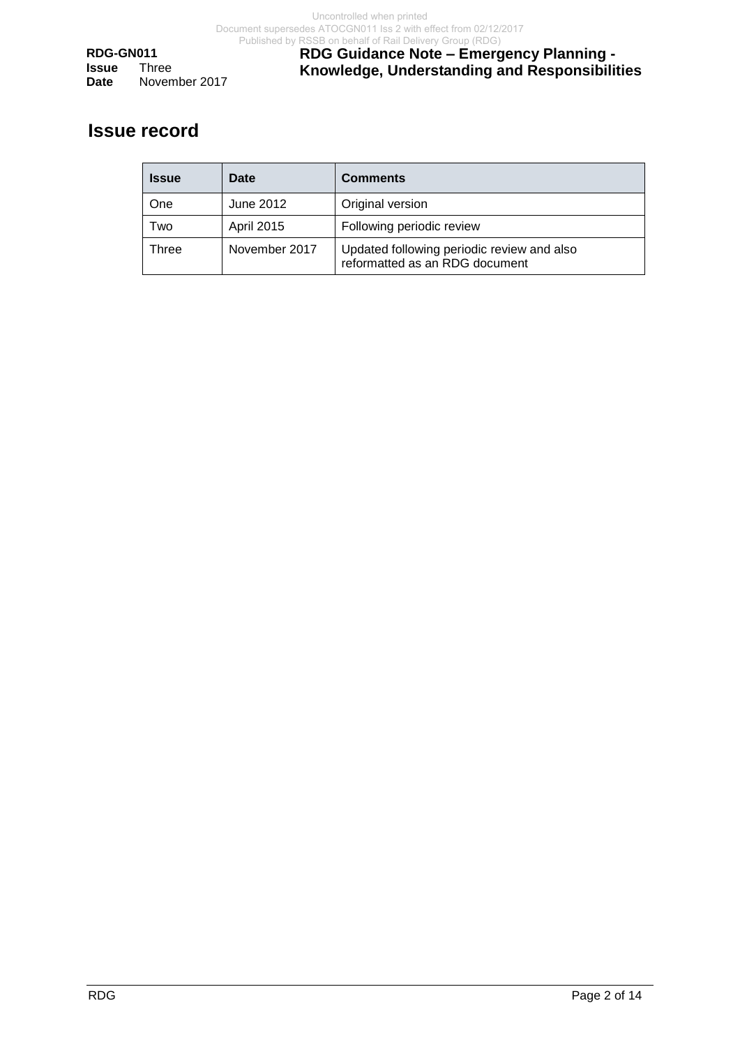**RDG-GN011 Issue Date** November 2017 **RDG Guidance Note – Emergency Planning - Knowledge, Understanding and Responsibilities**

## **Issue record**

| <b>Issue</b> | Date          | <b>Comments</b>                                                              |
|--------------|---------------|------------------------------------------------------------------------------|
| One          | June 2012     | Original version                                                             |
| Two          | April 2015    | Following periodic review                                                    |
| Three        | November 2017 | Updated following periodic review and also<br>reformatted as an RDG document |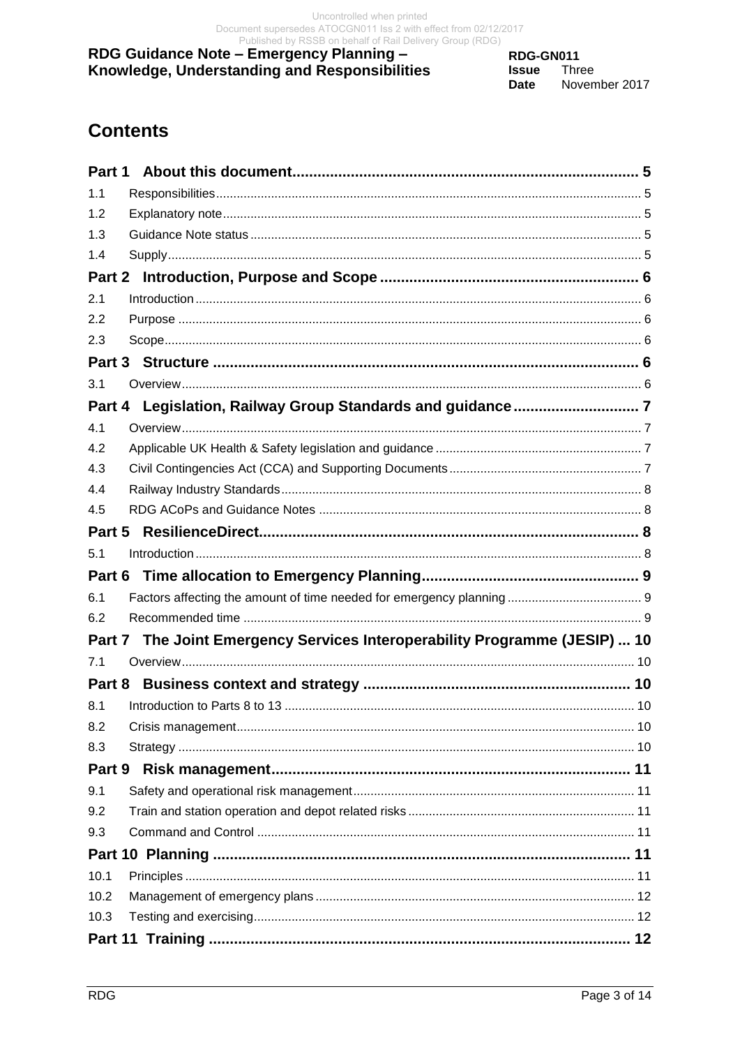RDG-GN011 **Issue** Three Date November 2017

# **Contents**

| Part 1 |                                                                            |  |
|--------|----------------------------------------------------------------------------|--|
| 1.1    |                                                                            |  |
| 1.2    |                                                                            |  |
| 1.3    |                                                                            |  |
| 1.4    |                                                                            |  |
| Part 2 |                                                                            |  |
| 2.1    |                                                                            |  |
| 2.2    |                                                                            |  |
| 2.3    |                                                                            |  |
|        |                                                                            |  |
| 3.1    |                                                                            |  |
| Part 4 |                                                                            |  |
| 4.1    |                                                                            |  |
| 4.2    |                                                                            |  |
| 4.3    |                                                                            |  |
| 4.4    |                                                                            |  |
| 4.5    |                                                                            |  |
| Part 5 |                                                                            |  |
| 5.1    |                                                                            |  |
|        |                                                                            |  |
| 6.1    |                                                                            |  |
| 6.2    |                                                                            |  |
|        | Part 7 The Joint Emergency Services Interoperability Programme (JESIP)  10 |  |
| 7.1    |                                                                            |  |
|        |                                                                            |  |
| 8.1    |                                                                            |  |
| 8.2    |                                                                            |  |
| 8.3    |                                                                            |  |
| Part 9 |                                                                            |  |
| 9.1    |                                                                            |  |
| 9.2    |                                                                            |  |
| 9.3    |                                                                            |  |
|        |                                                                            |  |
| 10.1   |                                                                            |  |
| 10.2   |                                                                            |  |
| 10.3   |                                                                            |  |
|        |                                                                            |  |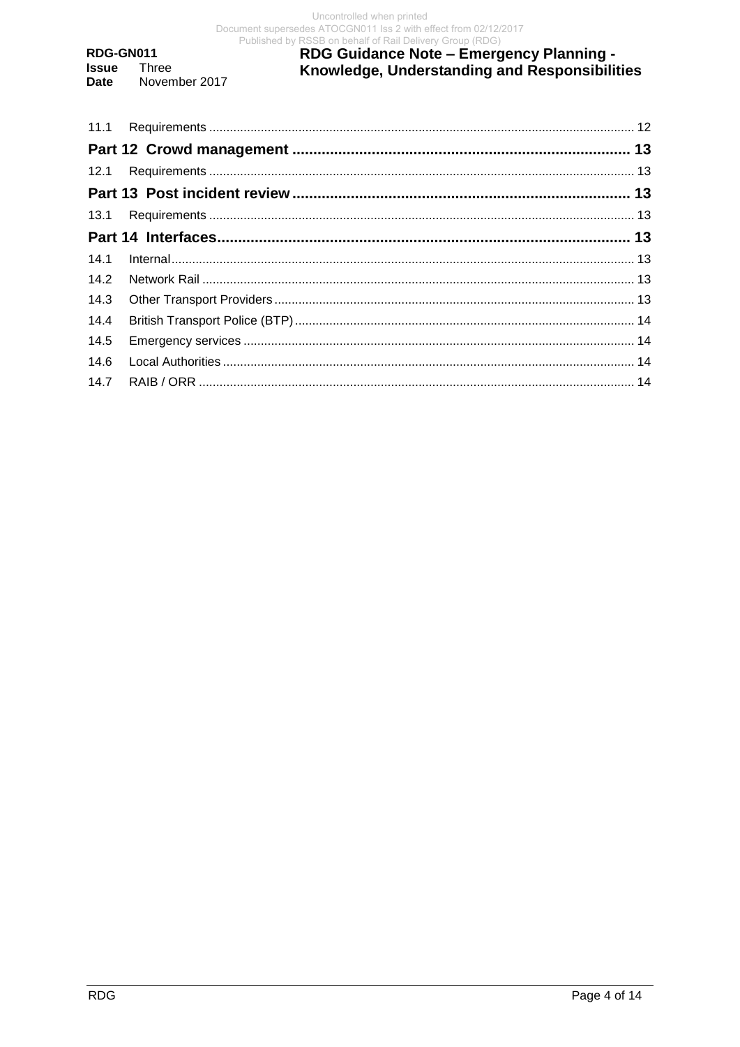RDG-GN011 **Issue** Three November 2017 **Date** 

# RDG Guidance Note - Emergency Planning -<br>Knowledge, Understanding and Responsibilities

| 14.4 |  |
|------|--|
| 14.5 |  |
|      |  |
|      |  |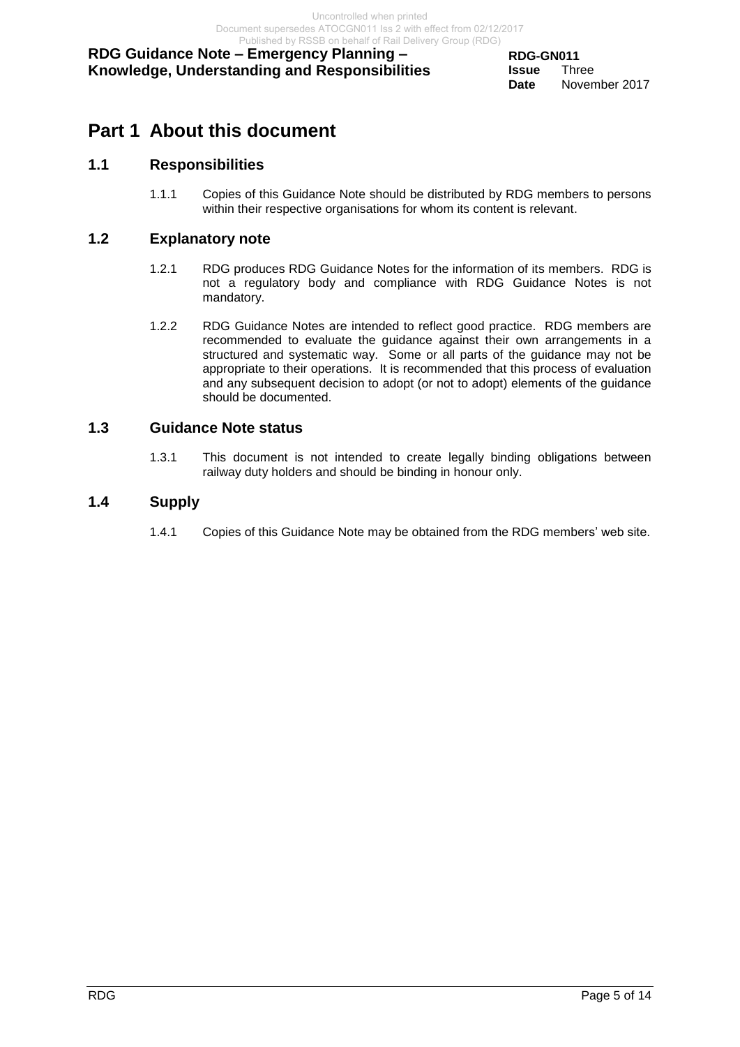## <span id="page-4-0"></span>**Part 1 About this document**

## <span id="page-4-1"></span>**1.1 Responsibilities**

1.1.1 Copies of this Guidance Note should be distributed by RDG members to persons within their respective organisations for whom its content is relevant.

## <span id="page-4-2"></span>**1.2 Explanatory note**

- 1.2.1 RDG produces RDG Guidance Notes for the information of its members. RDG is not a regulatory body and compliance with RDG Guidance Notes is not mandatory.
- 1.2.2 RDG Guidance Notes are intended to reflect good practice. RDG members are recommended to evaluate the guidance against their own arrangements in a structured and systematic way. Some or all parts of the guidance may not be appropriate to their operations. It is recommended that this process of evaluation and any subsequent decision to adopt (or not to adopt) elements of the guidance should be documented.

## <span id="page-4-3"></span>**1.3 Guidance Note status**

1.3.1 This document is not intended to create legally binding obligations between railway duty holders and should be binding in honour only.

## <span id="page-4-4"></span>**1.4 Supply**

1.4.1 Copies of this Guidance Note may be obtained from the RDG members' web site.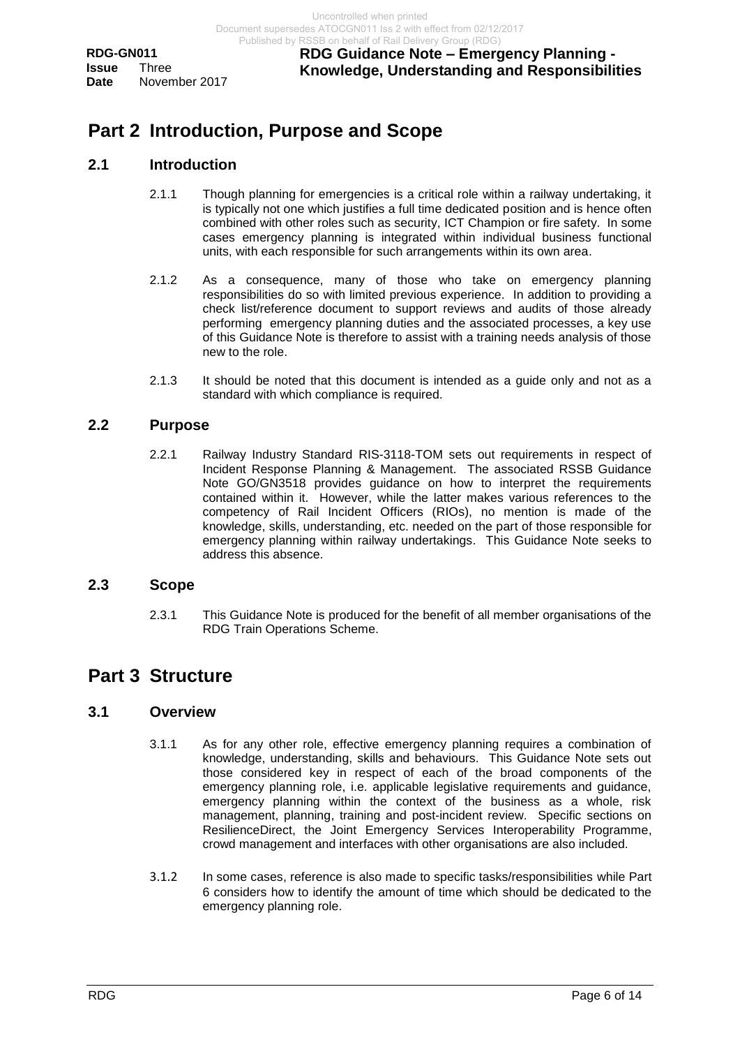## <span id="page-5-0"></span>**Part 2 Introduction, Purpose and Scope**

## <span id="page-5-1"></span>**2.1 Introduction**

- 2.1.1 Though planning for emergencies is a critical role within a railway undertaking, it is typically not one which justifies a full time dedicated position and is hence often combined with other roles such as security, ICT Champion or fire safety. In some cases emergency planning is integrated within individual business functional units, with each responsible for such arrangements within its own area.
- 2.1.2 As a consequence, many of those who take on emergency planning responsibilities do so with limited previous experience. In addition to providing a check list/reference document to support reviews and audits of those already performing emergency planning duties and the associated processes, a key use of this Guidance Note is therefore to assist with a training needs analysis of those new to the role.
- 2.1.3 It should be noted that this document is intended as a guide only and not as a standard with which compliance is required.

## <span id="page-5-2"></span>**2.2 Purpose**

2.2.1 Railway Industry Standard RIS-3118-TOM sets out requirements in respect of Incident Response Planning & Management. The associated RSSB Guidance Note GO/GN3518 provides guidance on how to interpret the requirements contained within it. However, while the latter makes various references to the competency of Rail Incident Officers (RIOs), no mention is made of the knowledge, skills, understanding, etc. needed on the part of those responsible for emergency planning within railway undertakings. This Guidance Note seeks to address this absence.

#### <span id="page-5-3"></span>**2.3 Scope**

2.3.1 This Guidance Note is produced for the benefit of all member organisations of the RDG Train Operations Scheme.

## <span id="page-5-4"></span>**Part 3 Structure**

## <span id="page-5-5"></span>**3.1 Overview**

- 3.1.1 As for any other role, effective emergency planning requires a combination of knowledge, understanding, skills and behaviours. This Guidance Note sets out those considered key in respect of each of the broad components of the emergency planning role, i.e. applicable legislative requirements and guidance, emergency planning within the context of the business as a whole, risk management, planning, training and post-incident review. Specific sections on ResilienceDirect, the Joint Emergency Services Interoperability Programme, crowd management and interfaces with other organisations are also included.
- 3.1.2 In some cases, reference is also made to specific tasks/responsibilities while Part 6 considers how to identify the amount of time which should be dedicated to the emergency planning role.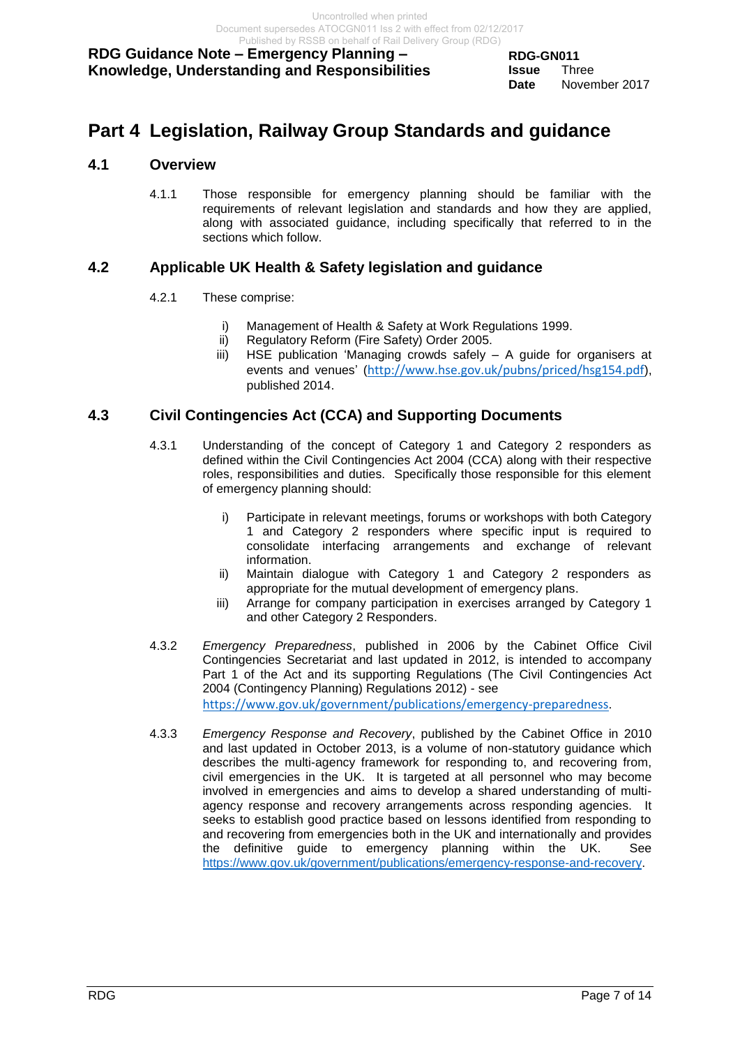## <span id="page-6-0"></span>**Part 4 Legislation, Railway Group Standards and guidance**

## <span id="page-6-1"></span>**4.1 Overview**

4.1.1 Those responsible for emergency planning should be familiar with the requirements of relevant legislation and standards and how they are applied, along with associated guidance, including specifically that referred to in the sections which follow.

## <span id="page-6-2"></span>**4.2 Applicable UK Health & Safety legislation and guidance**

- 4.2.1 These comprise:
	- i) Management of Health & Safety at Work Regulations 1999.
	- ii) Regulatory Reform (Fire Safety) Order 2005.
	- iii) HSE publication 'Managing crowds safely A guide for organisers at events and venues' (<http://www.hse.gov.uk/pubns/priced/hsg154.pdf>), published 2014.

## <span id="page-6-3"></span>**4.3 Civil Contingencies Act (CCA) and Supporting Documents**

- 4.3.1 Understanding of the concept of Category 1 and Category 2 responders as defined within the Civil Contingencies Act 2004 (CCA) along with their respective roles, responsibilities and duties. Specifically those responsible for this element of emergency planning should:
	- i) Participate in relevant meetings, forums or workshops with both Category 1 and Category 2 responders where specific input is required to consolidate interfacing arrangements and exchange of relevant information.
	- ii) Maintain dialogue with Category 1 and Category 2 responders as appropriate for the mutual development of emergency plans.
	- iii) Arrange for company participation in exercises arranged by Category 1 and other Category 2 Responders.
- 4.3.2 *Emergency Preparedness*, published in 2006 by the Cabinet Office Civil Contingencies Secretariat and last updated in 2012, is intended to accompany Part 1 of the Act and its supporting Regulations (The Civil Contingencies Act 2004 (Contingency Planning) Regulations 2012) - see <https://www.gov.uk/government/publications/emergency-preparedness>.

4.3.3 *Emergency Response and Recovery*, published by the Cabinet Office in 2010 and last updated in October 2013, is a volume of non-statutory guidance which describes the multi-agency framework for responding to, and recovering from, civil emergencies in the UK. It is targeted at all personnel who may become involved in emergencies and aims to develop a shared understanding of multiagency response and recovery arrangements across responding agencies. It seeks to establish good practice based on lessons identified from responding to and recovering from emergencies both in the UK and internationally and provides the definitive guide to emergency planning within the UK. See

[https://www.gov.uk/government/publications/emergency-response-and-recovery.](https://www.gov.uk/government/publications/emergency-response-and-recovery)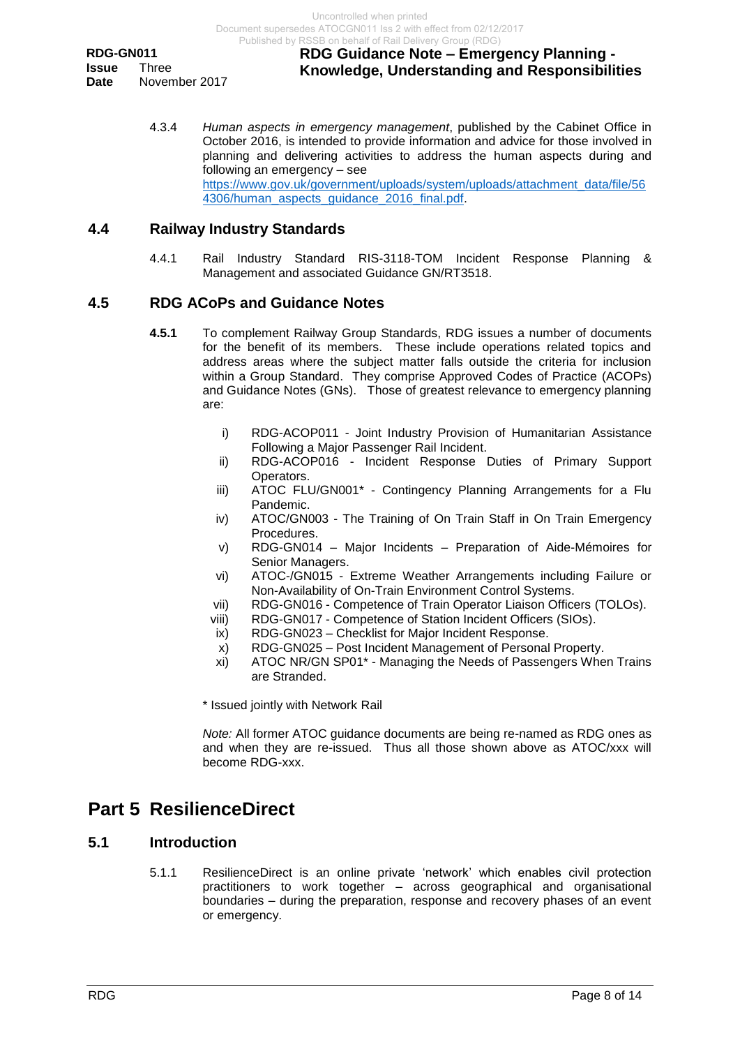## **RDG Guidance Note – Emergency Planning - Knowledge, Understanding and Responsibilities**

4.3.4 *Human aspects in emergency management*, published by the Cabinet Office in October 2016, is intended to provide information and advice for those involved in planning and delivering activities to address the human aspects during and following an emergency – see [https://www.gov.uk/government/uploads/system/uploads/attachment\\_data/file/56](https://www.gov.uk/government/uploads/system/uploads/attachment_data/file/564306/human_aspects_guidance_2016_final.pdf) 4306/human\_aspects\_quidance\_2016\_final.pdf.

## <span id="page-7-0"></span>**4.4 Railway Industry Standards**

4.4.1 Rail Industry Standard RIS-3118-TOM Incident Response Planning & Management and associated Guidance GN/RT3518.

## <span id="page-7-1"></span>**4.5 RDG ACoPs and Guidance Notes**

- **4.5.1** To complement Railway Group Standards, RDG issues a number of documents for the benefit of its members. These include operations related topics and address areas where the subject matter falls outside the criteria for inclusion within a Group Standard. They comprise Approved Codes of Practice (ACOPs) and Guidance Notes (GNs). Those of greatest relevance to emergency planning are:
	- i) RDG-ACOP011 Joint Industry Provision of Humanitarian Assistance Following a Major Passenger Rail Incident.
	- ii) RDG-ACOP016 Incident Response Duties of Primary Support Operators.
	- iii) ATOC FLU/GN001\* Contingency Planning Arrangements for a Flu Pandemic.
	- iv) ATOC/GN003 The Training of On Train Staff in On Train Emergency Procedures.
	- v) RDG-GN014 Major Incidents Preparation of Aide-Mémoires for Senior Managers.
	- vi) ATOC-/GN015 Extreme Weather Arrangements including Failure or Non-Availability of On-Train Environment Control Systems.
	- vii) RDG-GN016 Competence of Train Operator Liaison Officers (TOLOs).
	- viii) RDG-GN017 Competence of Station Incident Officers (SIOs).
	- ix) RDG-GN023 Checklist for Major Incident Response.
	- x) RDG-GN025 Post Incident Management of Personal Property.
	- xi) ATOC NR/GN SP01\* Managing the Needs of Passengers When Trains are Stranded.

\* Issued jointly with Network Rail

*Note:* All former ATOC guidance documents are being re-named as RDG ones as and when they are re-issued. Thus all those shown above as ATOC/xxx will become RDG-xxx.

## <span id="page-7-2"></span>**Part 5 ResilienceDirect**

## <span id="page-7-3"></span>**5.1 Introduction**

5.1.1 ResilienceDirect is an online private 'network' which enables civil protection practitioners to work together – across geographical and organisational boundaries – during the preparation, response and recovery phases of an event or emergency.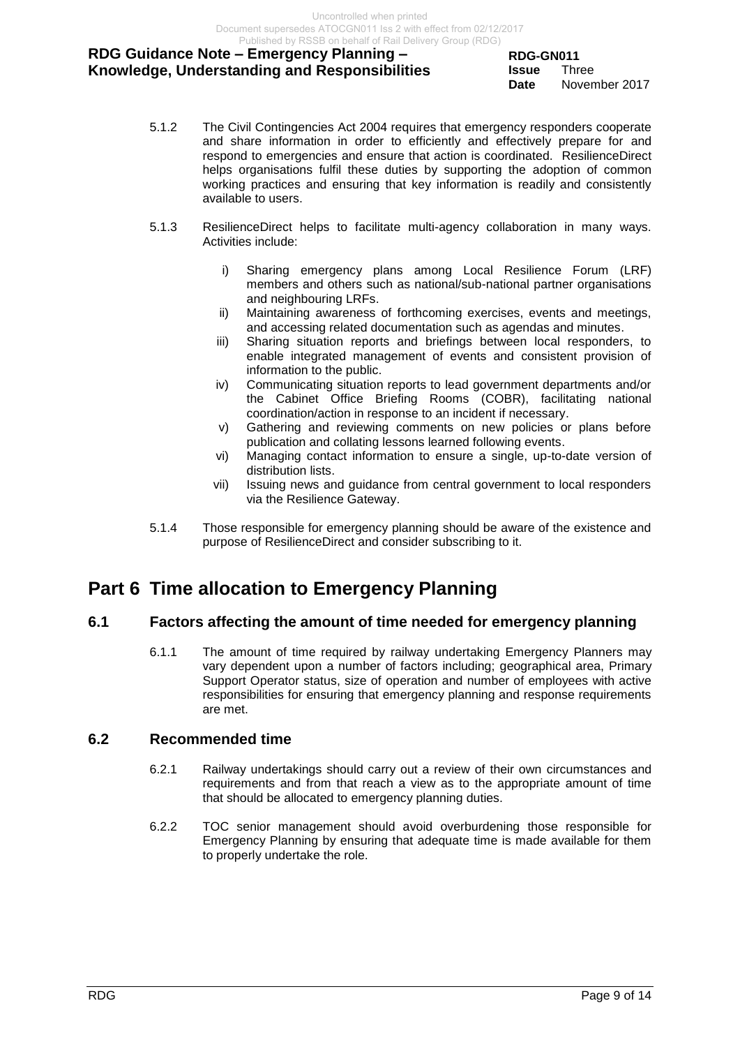**RDG-GN011 Issue** Three **Date** November 2017

- 5.1.2 The Civil Contingencies Act 2004 requires that emergency responders cooperate and share information in order to efficiently and effectively prepare for and respond to emergencies and ensure that action is coordinated. ResilienceDirect helps organisations fulfil these duties by supporting the adoption of common working practices and ensuring that key information is readily and consistently available to users.
- 5.1.3 ResilienceDirect helps to facilitate multi-agency collaboration in many ways. Activities include:
	- i) Sharing emergency plans among Local Resilience Forum (LRF) members and others such as national/sub-national partner organisations and neighbouring LRFs.
	- ii) Maintaining awareness of forthcoming exercises, events and meetings, and accessing related documentation such as agendas and minutes.
	- iii) Sharing situation reports and briefings between local responders, to enable integrated management of events and consistent provision of information to the public.
	- iv) Communicating situation reports to lead government departments and/or the Cabinet Office Briefing Rooms (COBR), facilitating national coordination/action in response to an incident if necessary.
	- v) Gathering and reviewing comments on new policies or plans before publication and collating lessons learned following events.
	- vi) Managing contact information to ensure a single, up-to-date version of distribution lists.
	- vii) Issuing news and guidance from central government to local responders via the Resilience Gateway.
- 5.1.4 Those responsible for emergency planning should be aware of the existence and purpose of ResilienceDirect and consider subscribing to it.

## <span id="page-8-0"></span>**Part 6 Time allocation to Emergency Planning**

## <span id="page-8-1"></span>**6.1 Factors affecting the amount of time needed for emergency planning**

6.1.1 The amount of time required by railway undertaking Emergency Planners may vary dependent upon a number of factors including; geographical area, Primary Support Operator status, size of operation and number of employees with active responsibilities for ensuring that emergency planning and response requirements are met.

## <span id="page-8-2"></span>**6.2 Recommended time**

- 6.2.1 Railway undertakings should carry out a review of their own circumstances and requirements and from that reach a view as to the appropriate amount of time that should be allocated to emergency planning duties.
- 6.2.2 TOC senior management should avoid overburdening those responsible for Emergency Planning by ensuring that adequate time is made available for them to properly undertake the role.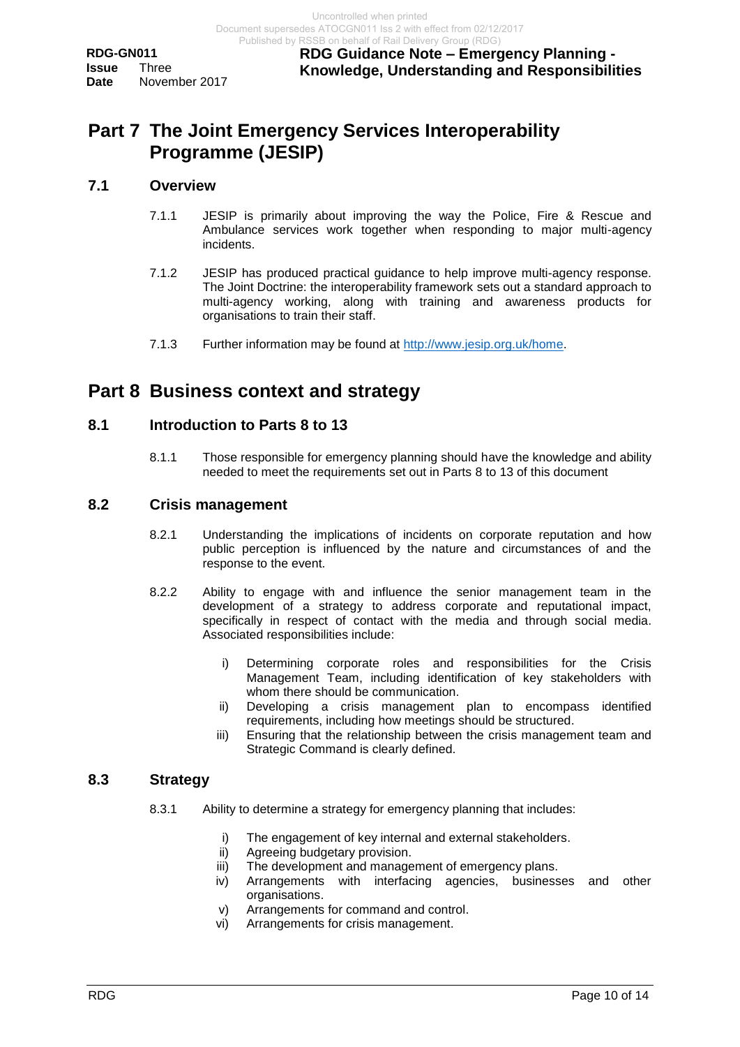**RDG Guidance Note – Emergency Planning - Knowledge, Understanding and Responsibilities**

## <span id="page-9-0"></span>**Part 7 The Joint Emergency Services Interoperability Programme (JESIP)**

#### <span id="page-9-1"></span>**7.1 Overview**

- 7.1.1 JESIP is primarily about improving the way the Police, Fire & Rescue and Ambulance services work together when responding to major multi-agency incidents.
- 7.1.2 JESIP has produced practical guidance to help improve multi-agency response. The [Joint Doctrine: the interoperability framework](http://www.jesip.org.uk/uploads/media/pdf/JESIP_Joint_Doctrine-The_Interoperability_Framework_%5bedition_2-July-2016%5d.pdf) [s](http://www.jesip.org.uk/joint-doctrine)ets out a standard approach to multi-agency working, along with training and awareness products for organisations to train their staff.
- 7.1.3 Further information may be found at [http://www.jesip.org.uk/home.](http://www.jesip.org.uk/home)

## <span id="page-9-2"></span>**Part 8 Business context and strategy**

## <span id="page-9-3"></span>**8.1 Introduction to Parts 8 to 13**

8.1.1 Those responsible for emergency planning should have the knowledge and ability needed to meet the requirements set out in Parts 8 to 13 of this document

## <span id="page-9-4"></span>**8.2 Crisis management**

- 8.2.1 Understanding the implications of incidents on corporate reputation and how public perception is influenced by the nature and circumstances of and the response to the event.
- 8.2.2 Ability to engage with and influence the senior management team in the development of a strategy to address corporate and reputational impact, specifically in respect of contact with the media and through social media. Associated responsibilities include:
	- i) Determining corporate roles and responsibilities for the Crisis Management Team, including identification of key stakeholders with whom there should be communication.
	- ii) Developing a crisis management plan to encompass identified requirements, including how meetings should be structured.
	- iii) Ensuring that the relationship between the crisis management team and Strategic Command is clearly defined.

## <span id="page-9-5"></span>**8.3 Strategy**

- 8.3.1 Ability to determine a strategy for emergency planning that includes:
	- i) The engagement of key internal and external stakeholders.
	- ii) Agreeing budgetary provision.
	- iii) The development and management of emergency plans.
	- iv) Arrangements with interfacing agencies, businesses and other organisations.
	- v) Arrangements for command and control.
	- vi) Arrangements for crisis management.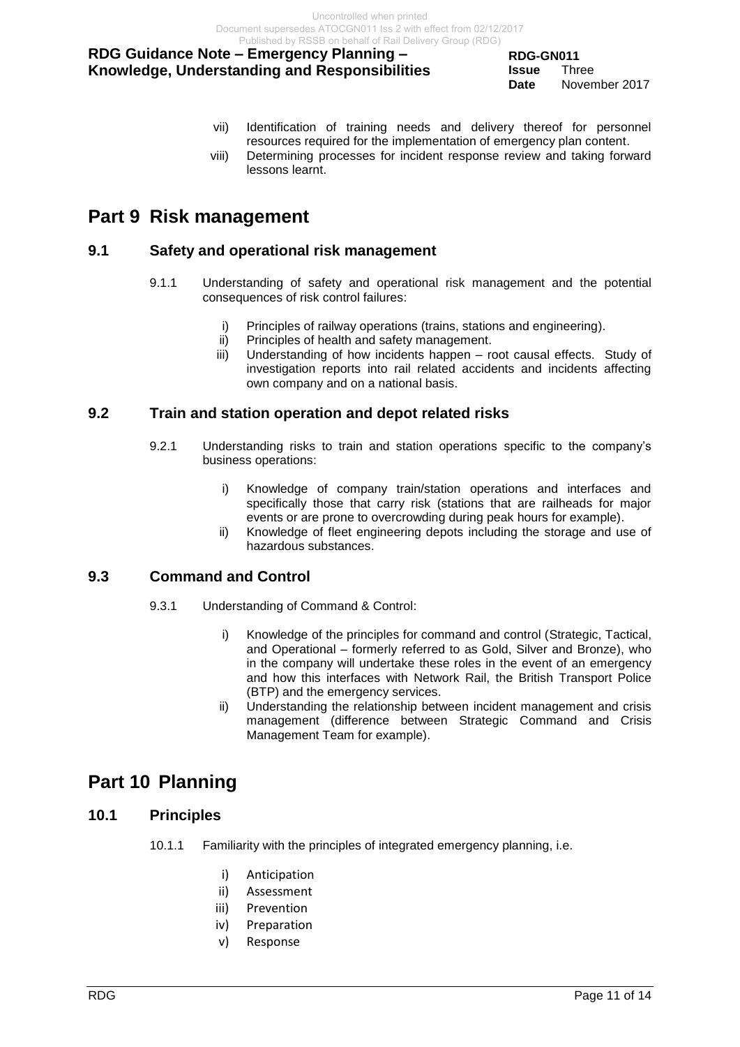**RDG-GN011 Issue** Three **Date** November 2017

- vii) Identification of training needs and delivery thereof for personnel resources required for the implementation of emergency plan content.
- viii) Determining processes for incident response review and taking forward lessons learnt.

## <span id="page-10-0"></span>**Part 9 Risk management**

## <span id="page-10-1"></span>**9.1 Safety and operational risk management**

- 9.1.1 Understanding of safety and operational risk management and the potential consequences of risk control failures:
	- i) Principles of railway operations (trains, stations and engineering).
	- ii) Principles of health and safety management.
	- iii) Understanding of how incidents happen root causal effects. Study of investigation reports into rail related accidents and incidents affecting own company and on a national basis.

## <span id="page-10-2"></span>**9.2 Train and station operation and depot related risks**

- 9.2.1 Understanding risks to train and station operations specific to the company's business operations:
	- i) Knowledge of company train/station operations and interfaces and specifically those that carry risk (stations that are railheads for major events or are prone to overcrowding during peak hours for example).
	- ii) Knowledge of fleet engineering depots including the storage and use of hazardous substances.

## <span id="page-10-3"></span>**9.3 Command and Control**

- 9.3.1 Understanding of Command & Control:
	- i) Knowledge of the principles for command and control (Strategic, Tactical, and Operational – formerly referred to as Gold, Silver and Bronze), who in the company will undertake these roles in the event of an emergency and how this interfaces with Network Rail, the British Transport Police (BTP) and the emergency services.
	- ii) Understanding the relationship between incident management and crisis management (difference between Strategic Command and Crisis Management Team for example).

# <span id="page-10-4"></span>**Part 10 Planning**

## <span id="page-10-5"></span>**10.1 Principles**

- 10.1.1 Familiarity with the principles of integrated emergency planning, i.e.
	- i) Anticipation
	- ii) Assessment
	- iii) Prevention
	- iv) Preparation
	- v) Response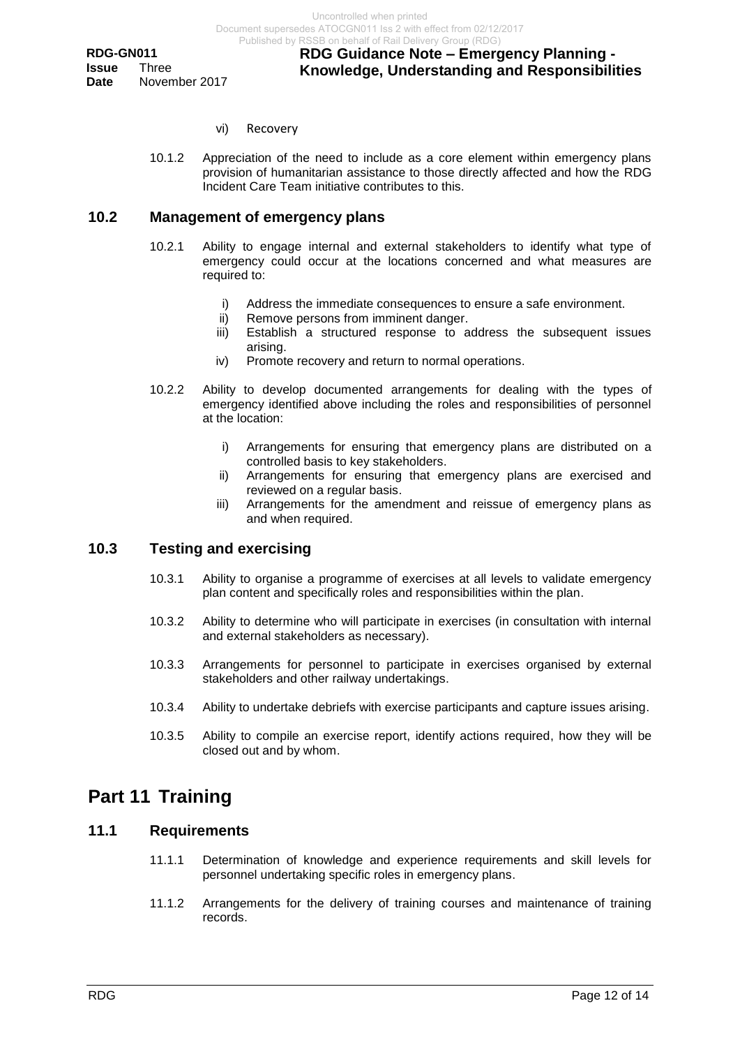- vi) Recovery
- 10.1.2 Appreciation of the need to include as a core element within emergency plans provision of humanitarian assistance to those directly affected and how the RDG Incident Care Team initiative contributes to this.

#### <span id="page-11-0"></span>**10.2 Management of emergency plans**

- 10.2.1 Ability to engage internal and external stakeholders to identify what type of emergency could occur at the locations concerned and what measures are required to:
	- i) Address the immediate consequences to ensure a safe environment.
	- ii) Remove persons from imminent danger.
	- iii) Establish a structured response to address the subsequent issues arising.
	- iv) Promote recovery and return to normal operations.
- 10.2.2 Ability to develop documented arrangements for dealing with the types of emergency identified above including the roles and responsibilities of personnel at the location:
	- i) Arrangements for ensuring that emergency plans are distributed on a controlled basis to key stakeholders.
	- ii) Arrangements for ensuring that emergency plans are exercised and reviewed on a regular basis.
	- iii) Arrangements for the amendment and reissue of emergency plans as and when required.

## <span id="page-11-1"></span>**10.3 Testing and exercising**

- 10.3.1 Ability to organise a programme of exercises at all levels to validate emergency plan content and specifically roles and responsibilities within the plan.
- 10.3.2 Ability to determine who will participate in exercises (in consultation with internal and external stakeholders as necessary).
- 10.3.3 Arrangements for personnel to participate in exercises organised by external stakeholders and other railway undertakings.
- 10.3.4 Ability to undertake debriefs with exercise participants and capture issues arising.
- 10.3.5 Ability to compile an exercise report, identify actions required, how they will be closed out and by whom.

## <span id="page-11-2"></span>**Part 11 Training**

#### <span id="page-11-3"></span>**11.1 Requirements**

- 11.1.1 Determination of knowledge and experience requirements and skill levels for personnel undertaking specific roles in emergency plans.
- 11.1.2 Arrangements for the delivery of training courses and maintenance of training records.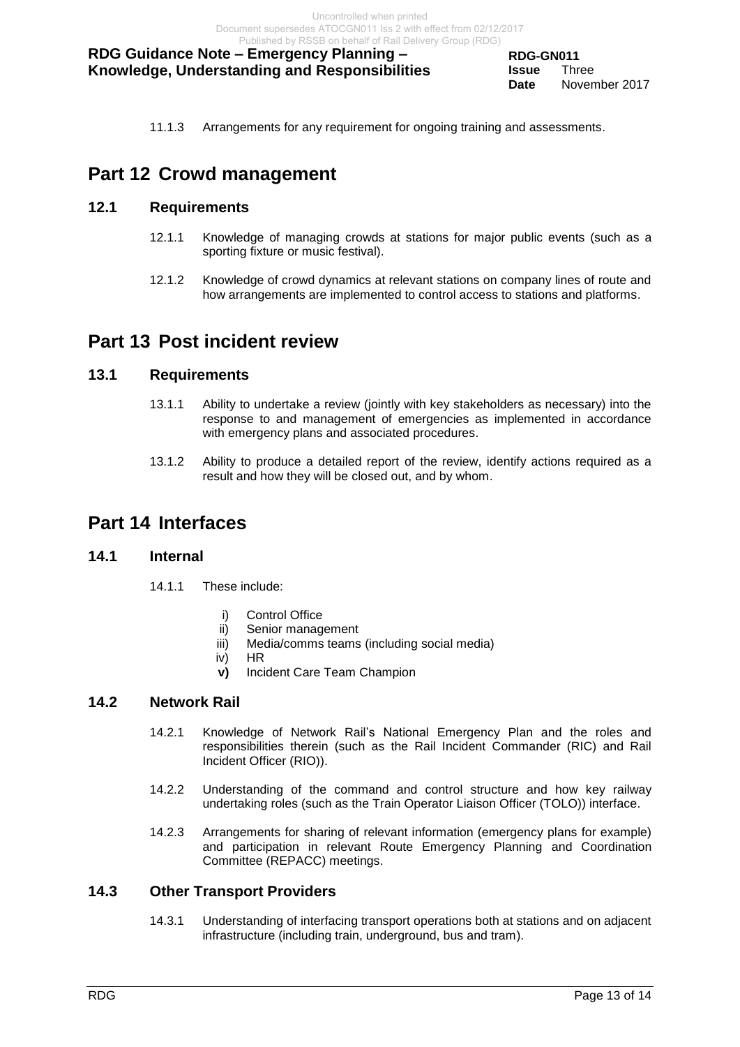11.1.3 Arrangements for any requirement for ongoing training and assessments.

## <span id="page-12-0"></span>**Part 12 Crowd management**

## <span id="page-12-1"></span>**12.1 Requirements**

- 12.1.1 Knowledge of managing crowds at stations for major public events (such as a sporting fixture or music festival).
- 12.1.2 Knowledge of crowd dynamics at relevant stations on company lines of route and how arrangements are implemented to control access to stations and platforms.

## <span id="page-12-2"></span>**Part 13 Post incident review**

## <span id="page-12-3"></span>**13.1 Requirements**

- 13.1.1 Ability to undertake a review (jointly with key stakeholders as necessary) into the response to and management of emergencies as implemented in accordance with emergency plans and associated procedures.
- 13.1.2 Ability to produce a detailed report of the review, identify actions required as a result and how they will be closed out, and by whom.

## <span id="page-12-4"></span>**Part 14 Interfaces**

## <span id="page-12-5"></span>**14.1 Internal**

- 14.1.1 These include:
	- i) Control Office
	- ii) Senior management
	- iii) Media/comms teams (including social media)
	- iv) HR
	- **v)** Incident Care Team Champion

## <span id="page-12-6"></span>**14.2 Network Rail**

- 14.2.1 Knowledge of Network Rail's National Emergency Plan and the roles and responsibilities therein (such as the Rail Incident Commander (RIC) and Rail Incident Officer (RIO)).
- 14.2.2 Understanding of the command and control structure and how key railway undertaking roles (such as the Train Operator Liaison Officer (TOLO)) interface.
- 14.2.3 Arrangements for sharing of relevant information (emergency plans for example) and participation in relevant Route Emergency Planning and Coordination Committee (REPACC) meetings.

## <span id="page-12-7"></span>**14.3 Other Transport Providers**

14.3.1 Understanding of interfacing transport operations both at stations and on adjacent infrastructure (including train, underground, bus and tram).